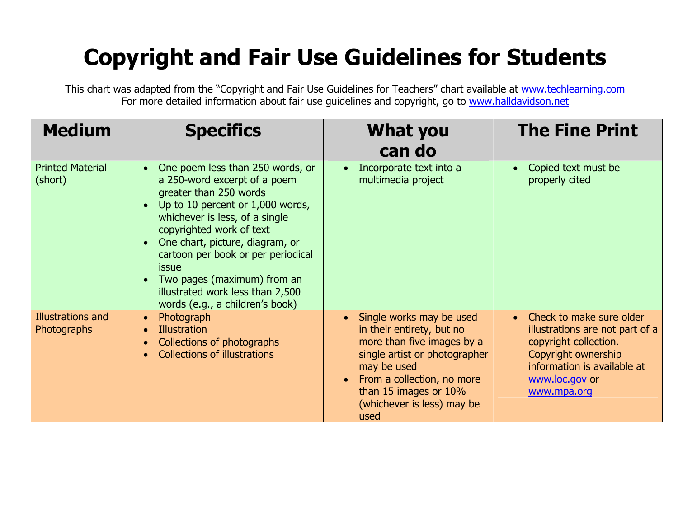## **Copyright and Fair Use Guidelines for Students**

This chart was adapted from the "Copyright and Fair Use Guidelines for Teachers" chart available at [www.techlearning.com](http://www.techlearning.com/) For more detailed information about fair use guidelines and copyright, go to [www.halldavidson.net](http://www.halldavidson.net/)

| <b>Medium</b>                      | <b>Specifics</b>                                                                                                                                                                                                                                                                                                                                                                                               | <b>What you</b><br>can do                                                                                                                                                                                                                                  | <b>The Fine Print</b>                                                                                                                                                                    |
|------------------------------------|----------------------------------------------------------------------------------------------------------------------------------------------------------------------------------------------------------------------------------------------------------------------------------------------------------------------------------------------------------------------------------------------------------------|------------------------------------------------------------------------------------------------------------------------------------------------------------------------------------------------------------------------------------------------------------|------------------------------------------------------------------------------------------------------------------------------------------------------------------------------------------|
| <b>Printed Material</b><br>(short) | One poem less than 250 words, or<br>$\bullet$<br>a 250-word excerpt of a poem<br>greater than 250 words<br>Up to 10 percent or 1,000 words,<br>$\bullet$<br>whichever is less, of a single<br>copyrighted work of text<br>One chart, picture, diagram, or<br>cartoon per book or per periodical<br>issue<br>Two pages (maximum) from an<br>illustrated work less than 2,500<br>words (e.g., a children's book) | Incorporate text into a<br>multimedia project                                                                                                                                                                                                              | Copied text must be<br>$\bullet$<br>properly cited                                                                                                                                       |
| Illustrations and<br>Photographs   | Photograph<br>$\bullet$<br><b>Illustration</b><br>$\bullet$<br>Collections of photographs<br><b>Collections of illustrations</b>                                                                                                                                                                                                                                                                               | Single works may be used<br>$\bullet$<br>in their entirety, but no<br>more than five images by a<br>single artist or photographer<br>may be used<br>From a collection, no more<br>$\bullet$<br>than 15 images or 10%<br>(whichever is less) may be<br>used | Check to make sure older<br>$\bullet$<br>illustrations are not part of a<br>copyright collection.<br>Copyright ownership<br>information is available at<br>www.loc.gov or<br>www.mpa.org |